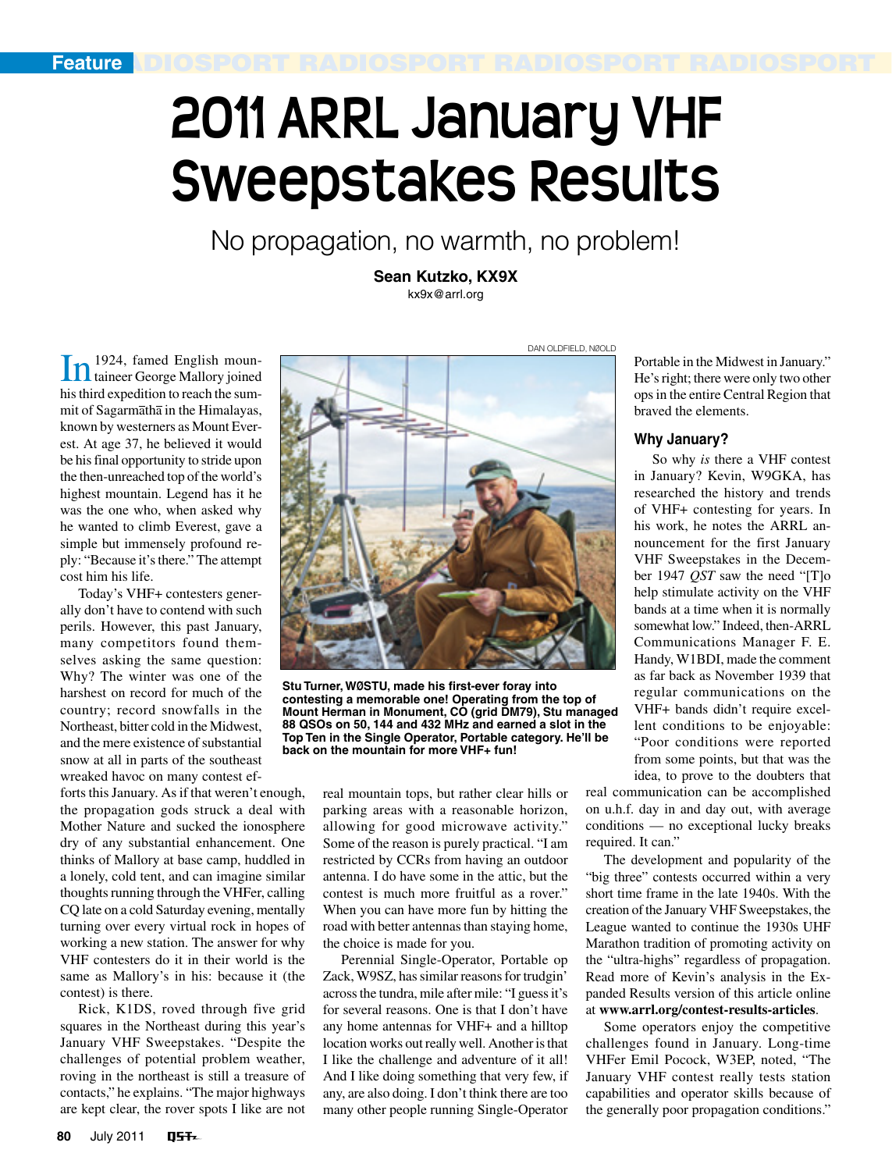# **2011 ARRL January VHF Sweepstakes Results**

No propagation, no warmth, no problem!

**Sean Kutzko, KX9X** kx9x@arrl.org

In 1924, famed English moun-taineer George Mallory joined histhird expedition to reach the summit of Sagarmatha in the Himalayas, known by westerners as Mount Everest. At age 37, he believed it would be hisfinal opportunity to stride upon the then-unreached top of the world's highest mountain. Legend has it he was the one who, when asked why he wanted to climb Everest, gave a simple but immensely profound reply: "Because it's there." The attempt cost him his life.

Today's VHF+ contesters generally don't have to contend with such perils. However, this past January, many competitors found themselves asking the same question: Why? The winter was one of the harshest on record for much of the country; record snowfalls in the Northeast, bitter cold in the Midwest, and the mere existence of substantial snow at all in parts of the southeast wreaked havoc on many contest ef-

forts this January. As if that weren't enough, the propagation gods struck a deal with Mother Nature and sucked the ionosphere dry of any substantial enhancement. One thinks of Mallory at base camp, huddled in a lonely, cold tent, and can imagine similar thoughts running through the VHFer, calling CQ late on a cold Saturday evening, mentally turning over every virtual rock in hopes of working a new station. The answer for why VHF contesters do it in their world is the same as Mallory's in his: because it (the contest) is there.

Rick, K1DS, roved through five grid squares in the Northeast during this year's January VHF Sweepstakes. "Despite the challenges of potential problem weather, roving in the northeast is still a treasure of contacts," he explains. "The major highways are kept clear, the rover spots I like are not



**Stu Turner, WØSTU, made his first-ever foray into contesting a memorable one! Operating from the top of Mount Herman in Monument, CO (grid DM79), Stu managed 88 QSOs on 50, 144 and 432 MHz and earned a slot in the Top Ten in the Single Operator, Portable category. He'll be back on the mountain for more VHF+ fun!**

real mountain tops, but rather clear hills or parking areas with a reasonable horizon, allowing for good microwave activity." Some of the reason is purely practical. "I am restricted by CCRs from having an outdoor antenna. I do have some in the attic, but the contest is much more fruitful as a rover." When you can have more fun by hitting the road with better antennas than staying home, the choice is made for you.

Perennial Single-Operator, Portable op Zack, W9SZ, has similar reasons for trudgin' across the tundra, mile after mile: "I guess it's for several reasons. One is that I don't have any home antennas for VHF+ and a hilltop location works out really well. Another is that I like the challenge and adventure of it all! And I like doing something that very few, if any, are also doing. I don't think there are too many other people running Single-Operator

Portable in the Midwest in January." He's right; there were only two other opsin the entire Central Region that braved the elements.

#### **Why January?**

So why *is* there a VHF contest in January? Kevin, W9GKA, has researched the history and trends of VHF+ contesting for years. In his work, he notes the ARRL announcement for the first January VHF Sweepstakes in the December 1947 *QST* saw the need "[T]o help stimulate activity on the VHF bands at a time when it is normally somewhat low." Indeed, then-ARRL Communications Manager F. E. Handy, W1BDI, made the comment as far back as November 1939 that regular communications on the VHF+ bands didn't require excellent conditions to be enjoyable: "Poor conditions were reported from some points, but that was the idea, to prove to the doubters that

real communication can be accomplished on u.h.f. day in and day out, with average conditions — no exceptional lucky breaks required. It can."

The development and popularity of the "big three" contests occurred within a very short time frame in the late 1940s. With the creation of the January VHF Sweepstakes, the League wanted to continue the 1930s UHF Marathon tradition of promoting activity on the "ultra-highs" regardless of propagation. Read more of Kevin's analysis in the Expanded Results version of this article online at **www.arrl.org/contest-results-articles**.

Some operators enjoy the competitive challenges found in January. Long-time VHFer Emil Pocock, W3EP, noted, "The January VHF contest really tests station capabilities and operator skills because of the generally poor propagation conditions."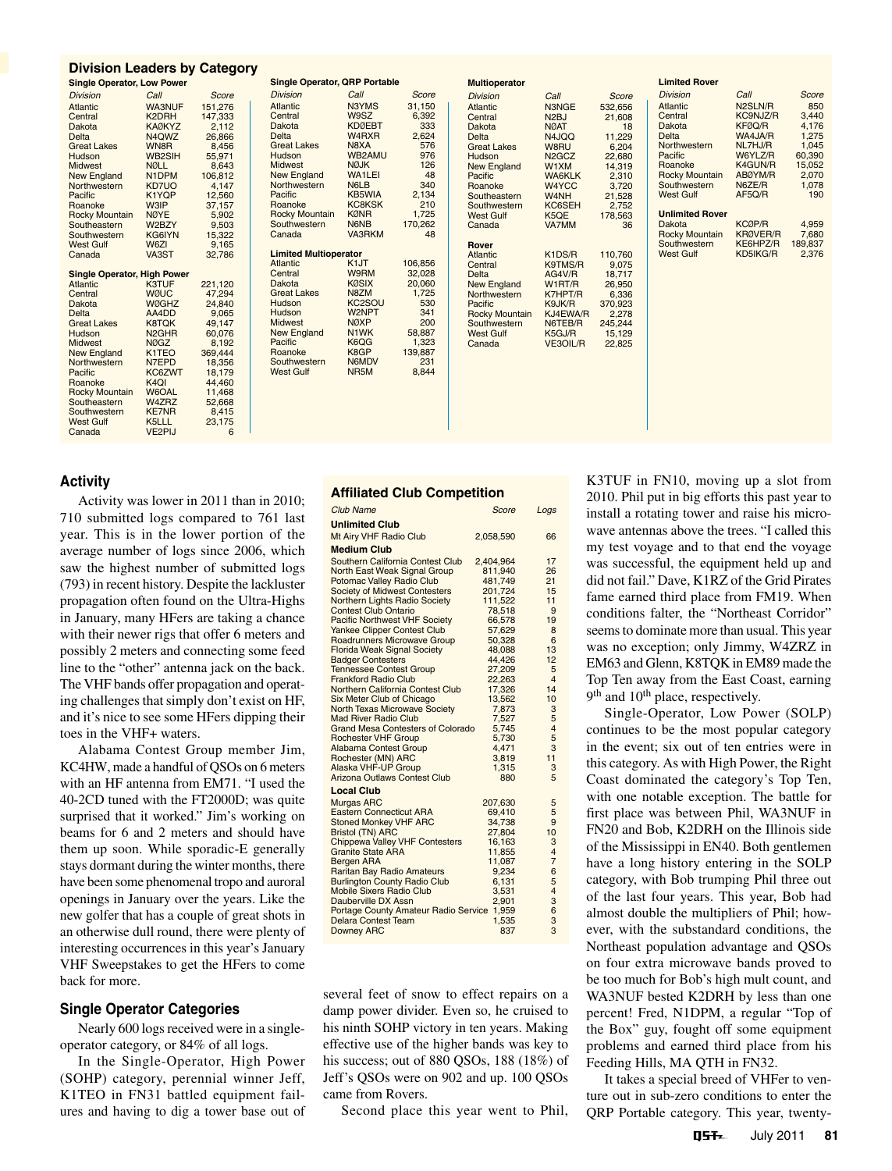| <b>Division Leaders by Category</b><br><b>Single Operator, QRP Portable</b><br><b>Limited Rover</b><br><b>Multioperator</b><br><b>Single Operator, Low Power</b><br>Call<br>Call<br><b>Division</b><br>Call<br>Score<br>Call<br><b>Division</b><br>Score<br><b>Division</b><br>Score<br>Division<br>N2SLN/R<br>N3YMS<br>31,150<br>Atlantic<br>Atlantic<br>N3NGE<br>532,656<br><b>WA3NUF</b><br>151,276<br>Atlantic<br>Atlantic<br>1,150<br>6,392<br>333<br>2,624<br>576<br>976<br>126<br>48<br>W9SZ<br>KC9NJZ/R<br>Central<br>Central<br>N <sub>2</sub> BJ<br>21,608<br>K <sub>2</sub> DRH<br>147,333<br>2,112<br>Central<br>Central<br>KDØEBT<br>W4RXR<br>KFØQ/R<br>Dakota<br>Dakota<br>NØAT<br>N4JQQ<br><b>KAØKYZ</b><br>Dakota<br>18<br>Dakota<br>Delta<br>Delta<br>Northwestern<br>WA4JA/R<br>N4QWZ<br>26,866<br>11,229<br>6,204<br>Delta<br>Delta<br>N8XA<br><b>Great Lakes</b><br>NL7HJ/R<br>8,456<br><b>Great Lakes</b><br>W8RU<br>N2GCZ<br><b>Great Lakes</b><br>WN8R<br>55,971<br>WB2AM<br>WB2SII<br>Pacific<br>W6YLZ/R<br>Hudson<br>22,680<br>14,319<br>2,310<br>3,720<br>21,528<br>2,752<br>Hudson<br>Hudson<br><b>NØJK</b><br>K4GUN/R<br>Midwest<br>Roanoke<br>8,643<br>New England<br>W1XM<br>NØLL<br>N1DPM<br>Midwest<br>WA1LEI<br><b>Rocky Mountain</b><br>ABØYM/R<br>New England<br>106,812<br>4,147<br>New England<br>Northwestern<br><b>WA6KLK</b><br>Pacific<br>$340$<br>2,134<br>210<br>N6LB<br>KD7UO<br>N6ZE/R<br>W4YCC<br>Southwestern<br>Northwestern<br>Roanoke<br>KB5WIA<br>AF5Q/R<br>West Gulf<br>12,560<br>Pacific<br>K1YQP<br>Southeastern<br>W4NH<br>Pacific<br><b>KC8KSK</b><br>Roanoke<br>W3IP<br>37,157<br>KC6SEH<br>Roanoke<br>Southwester<br>1,725<br>KØNR<br><b>Unlimited Rover</b><br><b>Rocky Mountair</b><br>178,563<br>Rocky Mountain<br>NØYE<br>K5QE<br><b>West Gulf</b><br>170,262<br>N6NB<br>KCØP/R<br>Southwestern<br>W2BZY<br>Dakota<br>VA7MM<br>36<br>Southeastern<br>Canada<br>KRØVER/R | $5,902$<br>$9,503$<br>$15,322$<br>$9,165$<br>VA3RKM<br>48<br>Canada<br>KG6IYN<br>W6ZI<br>Rover<br><b>Limited Multioperator</b><br>VA3ST<br>32,786<br>K1DS/R<br>Atlantic<br>110,760<br>9,075<br>K <sub>1</sub> JT<br>106,856<br>K9TMS/R<br>Atlantic<br>Central<br><b>Single Operator, High Power</b> | <b>Rocky Mountain</b><br>Southwester<br><b>West Gulf</b><br>32,028<br><b>W9RM</b><br>Central<br>18,717<br>Delta<br>AG4V/R<br>KØSIX<br>N8ZM<br>20,060<br>1,725<br>530<br>341<br>200<br>Dakota<br>New England<br>W1RT/R<br>26,950<br><b>Great Lakes</b><br>6,336<br>Northwestern<br>K7HPT/R<br>KC <sub>2</sub> SOL<br>Hudson<br>Pacific<br>K9JK/R<br>370,923<br>W2NPT<br>Hudson<br>KJ4EWA/R<br>Rocky Mountain<br>2,278 |
|---------------------------------------------------------------------------------------------------------------------------------------------------------------------------------------------------------------------------------------------------------------------------------------------------------------------------------------------------------------------------------------------------------------------------------------------------------------------------------------------------------------------------------------------------------------------------------------------------------------------------------------------------------------------------------------------------------------------------------------------------------------------------------------------------------------------------------------------------------------------------------------------------------------------------------------------------------------------------------------------------------------------------------------------------------------------------------------------------------------------------------------------------------------------------------------------------------------------------------------------------------------------------------------------------------------------------------------------------------------------------------------------------------------------------------------------------------------------------------------------------------------------------------------------------------------------------------------------------------------------------------------------------------------------------------------------------------------------------------------------------------------------------------------------------------------------------------------------------------------------------------------------------------------------------------------|-----------------------------------------------------------------------------------------------------------------------------------------------------------------------------------------------------------------------------------------------------------------------------------------------------|----------------------------------------------------------------------------------------------------------------------------------------------------------------------------------------------------------------------------------------------------------------------------------------------------------------------------------------------------------------------------------------------------------------------|
|                                                                                                                                                                                                                                                                                                                                                                                                                                                                                                                                                                                                                                                                                                                                                                                                                                                                                                                                                                                                                                                                                                                                                                                                                                                                                                                                                                                                                                                                                                                                                                                                                                                                                                                                                                                                                                                                                                                                       |                                                                                                                                                                                                                                                                                                     |                                                                                                                                                                                                                                                                                                                                                                                                                      |
|                                                                                                                                                                                                                                                                                                                                                                                                                                                                                                                                                                                                                                                                                                                                                                                                                                                                                                                                                                                                                                                                                                                                                                                                                                                                                                                                                                                                                                                                                                                                                                                                                                                                                                                                                                                                                                                                                                                                       |                                                                                                                                                                                                                                                                                                     |                                                                                                                                                                                                                                                                                                                                                                                                                      |
| Southwester                                                                                                                                                                                                                                                                                                                                                                                                                                                                                                                                                                                                                                                                                                                                                                                                                                                                                                                                                                                                                                                                                                                                                                                                                                                                                                                                                                                                                                                                                                                                                                                                                                                                                                                                                                                                                                                                                                                           |                                                                                                                                                                                                                                                                                                     |                                                                                                                                                                                                                                                                                                                                                                                                                      |

## **Activity**

Activity was lower in 2011 than in 2010; 710 submitted logs compared to 761 last year. This is in the lower portion of the average number of logs since 2006, which saw the highest number of submitted logs (793) in recent history. Despite the lackluster propagation often found on the Ultra-Highs in January, many HFers are taking a chance with their newer rigs that offer 6 meters and possibly 2 meters and connecting some feed line to the "other" antenna jack on the back. The VHF bands offer propagation and operating challenges that simply don't exist on HF, and it's nice to see some HFers dipping their toes in the VHF+ waters.

Alabama Contest Group member Jim, KC4HW, made a handful of QSOs on 6 meters with an HF antenna from EM71. "I used the 40-2CD tuned with the FT2000D; was quite surprised that it worked." Jim's working on beams for 6 and 2 meters and should have them up soon. While sporadic-E generally stays dormant during the winter months, there have been some phenomenal tropo and auroral openings in January over the years. Like the new golfer that has a couple of great shots in an otherwise dull round, there were plenty of interesting occurrences in this year's January VHF Sweepstakes to get the HFers to come back for more.

# **Single Operator Categories**

Nearly 600 logs received were in a singleoperator category, or 84% of all logs.

In the Single-Operator, High Power (SOHP) category, perennial winner Jeff, K1TEO in FN31 battled equipment failures and having to dig a tower base out of

## **Affiliated Club Competition**

| <b>Club Name</b>                                                          | Score            | Logs           |
|---------------------------------------------------------------------------|------------------|----------------|
| <b>Unlimited Club</b>                                                     |                  |                |
| Mt Airy VHF Radio Club                                                    | 2,058,590        | 66             |
| <b>Medium Club</b>                                                        |                  |                |
| Southern California Contest Club                                          | 2,404,964        | 17             |
| North East Weak Signal Group                                              | 811.940          | 26             |
| Potomac Valley Radio Club                                                 | 481,749          | 21             |
| Society of Midwest Contesters                                             | 201,724          | 15             |
| Northern Lights Radio Society                                             | 111,522          | 11             |
| <b>Contest Club Ontario</b>                                               | 78,518           | 9              |
| <b>Pacific Northwest VHF Society</b>                                      | 66,578           | 19             |
| <b>Yankee Clipper Contest Club</b>                                        | 57,629           | 8              |
| Roadrunners Microwave Group                                               | 50,328           | 6              |
| <b>Florida Weak Signal Society</b>                                        | 48,088           | 13             |
| <b>Badger Contesters</b><br><b>Tennessee Contest Group</b>                | 44,426<br>27,209 | 12<br>5        |
| <b>Frankford Radio Club</b>                                               | 22,263           | $\overline{4}$ |
| Northern California Contest Club                                          | 17,326           | 14             |
| Six Meter Club of Chicago                                                 | 13,562           | 10             |
| <b>North Texas Microwave Society</b>                                      | 7,873            | 3              |
| <b>Mad River Radio Club</b>                                               | 7,527            | 5              |
| <b>Grand Mesa Contesters of Colorado</b>                                  | 5,745            | 4              |
| <b>Rochester VHF Group</b>                                                | 5,730            | 5              |
| <b>Alabama Contest Group</b>                                              | 4.471            | 3              |
| Rochester (MN) ARC                                                        | 3,819            | 11             |
| Alaska VHF-UP Group                                                       | 1.315            | 3              |
| <b>Arizona Outlaws Contest Club</b>                                       | 880              | 5              |
| <b>Local Club</b>                                                         |                  |                |
| <b>Murgas ARC</b>                                                         | 207,630          | 5              |
| <b>Eastern Connecticut ARA</b>                                            | 69,410           | 5              |
| <b>Stoned Monkey VHF ARC</b>                                              | 34,738           | 9              |
| <b>Bristol (TN) ARC</b>                                                   | 27,804           | 10             |
| <b>Chippewa Valley VHF Contesters</b>                                     | 16,163           | 3              |
| <b>Granite State ARA</b>                                                  | 11,855           | 4              |
| <b>Bergen ARA</b>                                                         | 11,087           | $\overline{7}$ |
| <b>Raritan Bay Radio Amateurs</b>                                         | 9,234            | 6              |
| <b>Burlington County Radio Club</b>                                       | 6,131            | 5              |
| <b>Mobile Sixers Radio Club</b>                                           | 3,531            | $\overline{4}$ |
| Dauberville DX Assn                                                       | 2,901<br>1,959   | 3<br>6         |
| <b>Portage County Amateur Radio Service</b><br><b>Delara Contest Team</b> | 1.535            | 3              |
| <b>Downey ARC</b>                                                         | 837              | 3              |
|                                                                           |                  |                |

several feet of snow to effect repairs on a damp power divider. Even so, he cruised to his ninth SOHP victory in ten years. Making effective use of the higher bands was key to his success; out of 880 QSOs, 188 (18%) of Jeff's QSOs were on 902 and up. 100 QSOs came from Rovers.

Second place this year went to Phil,

K3TUF in FN10, moving up a slot from 2010. Phil put in big efforts this past year to install a rotating tower and raise his microwave antennas above the trees. "I called this my test voyage and to that end the voyage was successful, the equipment held up and did not fail." Dave, K1RZ of the Grid Pirates fame earned third place from FM19. When conditions falter, the "Northeast Corridor" seems to dominate more than usual. This year was no exception; only Jimmy, W4ZRZ in EM63 and Glenn, K8TQK in EM89 made the Top Ten away from the East Coast, earning 9<sup>th</sup> and 10<sup>th</sup> place, respectively.

Single-Operator, Low Power (SOLP) continues to be the most popular category in the event; six out of ten entries were in this category. As with High Power, the Right Coast dominated the category's Top Ten, with one notable exception. The battle for first place was between Phil, WA3NUF in FN20 and Bob, K2DRH on the Illinois side of the Mississippi in EN40. Both gentlemen have a long history entering in the SOLP category, with Bob trumping Phil three out of the last four years. This year, Bob had almost double the multipliers of Phil; however, with the substandard conditions, the Northeast population advantage and QSOs on four extra microwave bands proved to be too much for Bob's high mult count, and WA3NUF bested K2DRH by less than one percent! Fred, N1DPM, a regular "Top of the Box" guy, fought off some equipment problems and earned third place from his Feeding Hills, MA QTH in FN32.

It takes a special breed of VHFer to venture out in sub-zero conditions to enter the QRP Portable category. This year, twenty-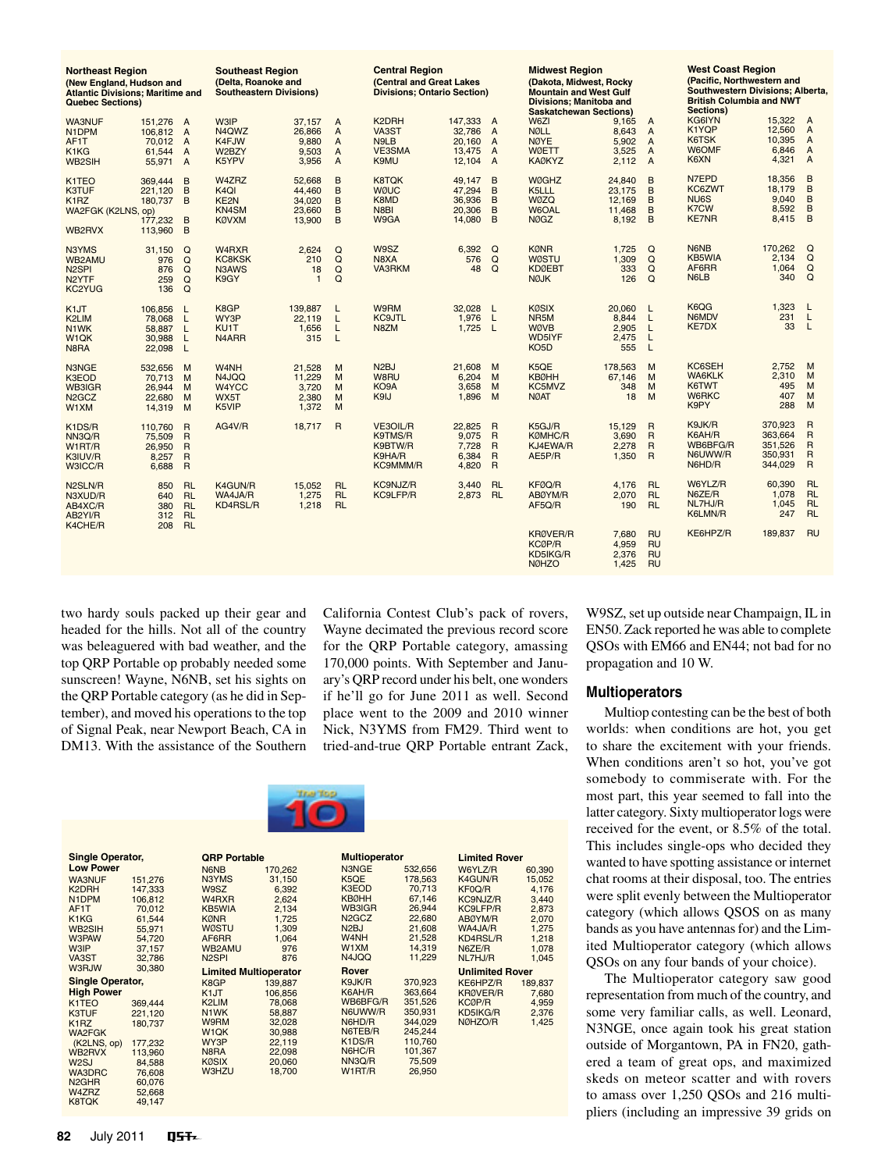| <b>Northeast Region</b><br>(New England, Hudson and<br><b>Atlantic Divisions; Maritime and</b><br><b>Quebec Sections)</b> |                                                      |                                                                                    | <b>Southeast Region</b><br>(Delta, Roanoke and<br><b>Southeastern Divisions)</b> |                                                |                                                              | <b>Central Region</b><br>(Central and Great Lakes<br><b>Divisions: Ontario Section)</b> |                                                 |                                                                                        | <b>Midwest Region</b><br>(Dakota, Midwest, Rocky<br><b>Mountain and West Gulf</b><br>Divisions: Manitoba and<br><b>Saskatchewan Sections)</b> |                                               |                                                                                        | <b>West Coast Region</b><br>(Pacific, Northwestern and<br>Southwestern Divisions; Alberta,<br><b>British Columbia and NWT</b><br><b>Sections)</b> |                                                     |                                                                              |
|---------------------------------------------------------------------------------------------------------------------------|------------------------------------------------------|------------------------------------------------------------------------------------|----------------------------------------------------------------------------------|------------------------------------------------|--------------------------------------------------------------|-----------------------------------------------------------------------------------------|-------------------------------------------------|----------------------------------------------------------------------------------------|-----------------------------------------------------------------------------------------------------------------------------------------------|-----------------------------------------------|----------------------------------------------------------------------------------------|---------------------------------------------------------------------------------------------------------------------------------------------------|-----------------------------------------------------|------------------------------------------------------------------------------|
| <b>WA3NUF</b><br>N1DPM<br>AF1T<br>K1KG<br><b>WB2SIH</b>                                                                   | 151,276 A<br>106.812 A<br>70,012<br>61.544<br>55,971 | $\overline{A}$<br>$\overline{A}$<br>$\overline{A}$                                 | <b>W3IP</b><br>N4QWZ<br>K4FJW<br>W2BZY<br>K5YPV                                  | 37.157<br>26,866<br>9,880<br>9.503<br>3.956    | $\overline{A}$<br>A<br>$\overline{A}$<br>A<br>$\overline{A}$ | K2DRH<br>VA3ST<br>N <sub>9</sub> L <sub>B</sub><br>VE3SMA<br>K9MU                       | 147.333<br>32,786<br>20.160<br>13,475<br>12.104 | $\overline{A}$<br>$\overline{A}$<br>$\overline{A}$<br>$\overline{A}$<br>$\overline{A}$ | W6ZI<br><b>NØLL</b><br><b>NØYE</b><br><b>WØETT</b><br><b>KAØKYZ</b>                                                                           | 9.165<br>8.643<br>5.902<br>3,525<br>2.112     | $\overline{A}$<br>$\overline{A}$<br>$\overline{A}$<br>$\overline{A}$<br>$\overline{A}$ | KG6IYN<br>K1YQP<br>K6TSK<br>W6OMF<br>K6XN                                                                                                         | 15.322<br>12.560<br>10,395<br>6,846<br>4,321        | A<br>$\overline{A}$<br>$\overline{A}$<br>$\overline{A}$<br>$\overline{A}$    |
| K1TEO<br><b>K3TUF</b><br>K <sub>1</sub> RZ<br>WA2FGK (K2LNS, op)<br>WB2RVX                                                | 369,444<br>221.120<br>180.737<br>177.232<br>113.960  | B<br>B<br>B<br>B<br>B                                                              | W4ZRZ<br>K <sub>4</sub> QI<br>KE2N<br>KN4SM<br><b>KØVXM</b>                      | 52.668<br>44.460<br>34,020<br>23.660<br>13,900 | B<br>B<br>B<br>B<br>B                                        | <b>K8TOK</b><br><b>WØUC</b><br>K8MD<br>N8BI<br>W9GA                                     | 49.147<br>47,294<br>36,936<br>20,306<br>14.080  | B<br>B<br>B<br>B<br>B                                                                  | <b>WØGHZ</b><br>K5LLL<br><b>WØZQ</b><br>W6OAL<br><b>NØGZ</b>                                                                                  | 24.840<br>23,175<br>12.169<br>11,468<br>8.192 | B<br>B<br>B<br>B<br>B                                                                  | N7EPD<br>KC6ZWT<br>NU <sub>6</sub> S<br><b>K7CW</b><br><b>KE7NR</b>                                                                               | 18,356<br>18.179<br>9,040<br>8,592<br>8,415         | B<br>B<br>B<br>B<br>B                                                        |
| N3YMS<br><b>WB2AMU</b><br>N <sub>2</sub> SPI<br>N <sub>2</sub> YTF<br>KC2YUG                                              | 31,150<br>976<br>876<br>259<br>136                   | Q<br>Q<br>$\Omega$<br>$\Omega$<br>Q                                                | W4RXR<br><b>KC8KSK</b><br>N3AWS<br>K9GY                                          | 2.624<br>210<br>18<br>$\overline{1}$           | Q<br>Q<br>Q<br>Q                                             | W9SZ<br>N8XA<br>VA3RKM                                                                  | 6,392<br>576<br>48                              | Q<br>$\Omega$<br>$\Omega$                                                              | <b>KØNR</b><br><b>WØSTU</b><br><b>KDØEBT</b><br><b>NØJK</b>                                                                                   | 1,725<br>1.309<br>333<br>126                  | Q<br>$\Omega$<br>$\Omega$<br>$\Omega$                                                  | N6NB<br><b>KB5WIA</b><br>AF6RR<br>N6LB                                                                                                            | 170,262<br>2.134<br>1.064<br>340                    | Q<br>Q<br>Q<br>$\Omega$                                                      |
| K <sub>1</sub> JT<br>K2LIM<br>N <sub>1</sub> WK<br>W <sub>1</sub> QK<br>N8RA                                              | 106.856<br>78.068<br>58.887<br>30.988<br>22,098      | L<br>L<br>L<br>$\mathsf{L}$<br>L                                                   | K8GP<br>WY3P<br>KU <sub>1</sub> T<br>N <sub>4</sub> ARR                          | 139.887<br>22.119<br>1,656<br>315              | L<br>L<br>$\mathsf{L}$<br>L                                  | W9RM<br><b>KC9JTL</b><br>N8ZM                                                           | 32.028<br>1,976<br>$1,725$ L                    | L<br>L                                                                                 | <b>KØSIX</b><br>NR <sub>5</sub> M<br><b>WØVB</b><br>WD5IYF<br>KO <sub>5</sub> D                                                               | 20.060<br>8.844<br>2.905<br>2,475<br>555      | L<br>L<br>L<br>L<br>L                                                                  | K6QG<br>N6MDV<br><b>KE7DX</b>                                                                                                                     | 1,323<br>231<br>33                                  | L<br>L<br>$\mathsf{L}$                                                       |
| N3NGE<br>K3EOD<br>WB3IGR<br>N <sub>2</sub> GC <sub>Z</sub><br>W1XM                                                        | 532.656<br>70.713<br>26,944<br>22.680<br>14,319      | M<br>M<br>M<br>M<br>M                                                              | W <sub>4</sub> NH<br>N4JQQ<br>W4YCC<br>WX5T<br>K5VIP                             | 21.528<br>11,229<br>3,720<br>2.380<br>1,372    | M<br>M<br>M<br>M<br>M                                        | N <sub>2</sub> BJ<br>W8RU<br>KO <sub>9</sub> A<br>K9IJ                                  | 21.608<br>6,204<br>3.658<br>1,896               | M<br>M<br>M<br>M                                                                       | K5QE<br><b>KBØHH</b><br>KC5MVZ<br><b>NØAT</b>                                                                                                 | 178.563<br>67.146<br>348<br>18                | M<br>M<br>M<br>M                                                                       | KC6SEH<br><b>WA6KLK</b><br>K6TWT<br><b>W6RKC</b><br>K9PY                                                                                          | 2,752<br>2,310<br>495<br>407<br>288                 | M<br>M<br>M<br>M<br>M                                                        |
| K1DS/R<br>NN3Q/R<br>W1RT/R<br>K3IUV/R<br>W3ICC/R                                                                          | 110.760<br>75,509<br>26,950<br>8.257<br>6,688        | $\overline{R}$<br>$\overline{R}$<br>$\mathsf{R}$<br>$\overline{R}$<br>$\mathsf{R}$ | AG4V/R                                                                           | 18.717                                         | $\overline{R}$                                               | VE3OIL/R<br>K9TMS/R<br>K9BTW/R<br>K9HA/R<br><b>KC9MMM/R</b>                             | 22.825<br>9.075<br>7,728<br>6,384<br>4,820      | $\overline{R}$<br>$\overline{R}$<br>$\overline{R}$<br>R<br>$\mathsf{R}$                | K5GJ/R<br><b>KØMHC/R</b><br>KJ4EWA/R<br>AE5P/R                                                                                                | 15.129<br>3.690<br>2,278<br>1,350             | $\overline{R}$<br>$\overline{R}$<br>$\overline{R}$<br>$\mathsf{R}$                     | K9JK/R<br>K6AH/R<br>WB6BFG/R<br>N6UWW/R<br>N6HD/R                                                                                                 | 370,923<br>363,664<br>351,526<br>350,931<br>344,029 | $\mathsf{R}$<br>$\mathsf{R}$<br>$\mathsf{R}$<br>$\mathsf{R}$<br>$\mathsf{R}$ |
| N2SLN/R<br>N3XUD/R<br>AB4XC/R<br>AB2YI/R                                                                                  | 850<br>640<br>380<br>312                             | <b>RL</b><br><b>RL</b><br><b>RL</b><br><b>RL</b>                                   | K4GUN/R<br>WA4JA/R<br><b>KD4RSL/R</b>                                            | 15,052<br>1.275<br>1,218                       | <b>RL</b><br><b>RL</b><br><b>RL</b>                          | KC9NJZ/R<br>KC9LFP/R                                                                    | 3.440<br>2.873                                  | <b>RL</b><br><b>RL</b>                                                                 | KFØQ/R<br>ABØYM/R<br>AF5Q/R                                                                                                                   | 4,176<br>2.070<br>190                         | <b>RL</b><br><b>RL</b><br><b>RL</b>                                                    | W6YLZ/R<br>N6ZE/R<br>NL7HJ/R<br>K6LMN/R                                                                                                           | 60,390<br>1,078<br>1.045<br>247                     | <b>RL</b><br><b>RL</b><br><b>RL</b><br><b>RL</b>                             |
| K4CHE/R                                                                                                                   | 208                                                  | <b>RL</b>                                                                          |                                                                                  |                                                |                                                              |                                                                                         |                                                 |                                                                                        | <b>KRØVER/R</b><br>KCØP/R<br>KD5IKG/R<br><b>NØHZO</b>                                                                                         | 7.680<br>4,959<br>2,376<br>1,425              | <b>RU</b><br><b>RU</b><br><b>RU</b><br><b>RU</b>                                       | KE6HPZ/R                                                                                                                                          | 189,837                                             | <b>RU</b>                                                                    |

two hardy souls packed up their gear and headed for the hills. Not all of the country was beleaguered with bad weather, and the top QRP Portable op probably needed some sunscreen! Wayne, N6NB, set his sights on the QRP Portable category (as he did in September), and moved his operations to the top of Signal Peak, near Newport Beach, CA in DM13. With the assistance of the Southern

California Contest Club's pack of rovers, Wayne decimated the previous record score for the QRP Portable category, amassing 170,000 points. With September and January's QRP record under his belt, one wonders if he'll go for June 2011 as well. Second place went to the 2009 and 2010 winner Nick, N3YMS from FM29. Third went to tried-and-true QRP Portable entrant Zack,

**Limited Rover**

**QRP Portable** N6NB 170,262 N3YMS 31,150 **Multioperator**

| <b>Low Power</b>               |         | N6NB                           | 170.262 | N3NGE                          | 532,656 | W6YLZ/R                | 60,390  |
|--------------------------------|---------|--------------------------------|---------|--------------------------------|---------|------------------------|---------|
| <b>WA3NUF</b>                  | 151.276 | N3YMS                          | 31.150  | K5QE                           | 178,563 | K4GUN/R                | 15,052  |
| K <sub>2</sub> DRH             | 147.333 | W9SZ                           | 6,392   | K3EOD                          | 70.713  | KF0Q/R                 | 4,176   |
| N <sub>1</sub> DPM             | 106,812 | W <sub>4</sub> R <sub>XR</sub> | 2,624   | <b>KBØHH</b>                   | 67.146  | KC9NJZ/R               | 3,440   |
| AF1T                           | 70.012  | KB5WIA                         | 2,134   | WB3IGR                         | 26.944  | KC9LFP/R               | 2,873   |
| K <sub>1</sub> K <sub>G</sub>  | 61.544  | <b>KØNR</b>                    | 1,725   | N <sub>2</sub> GC <sub>Z</sub> | 22,680  | ABØYM/R                | 2,070   |
| WB2SIH                         | 55.971  | <b>WØSTU</b>                   | 1.309   | N <sub>2</sub> BJ              | 21,608  | WA4JA/R                | 1,275   |
| <b>W3PAW</b>                   | 54,720  | AF6RR                          | 1,064   | W <sub>4</sub> NH              | 21,528  | KD4RSL/R               | 1,218   |
| <b>W3IP</b>                    | 37.157  | WB2AMU                         | 976     | W1XM                           | 14,319  | N6ZE/R                 | 1,078   |
| VA3ST                          | 32.786  | N <sub>2</sub> SPI             | 876     | N4JQQ                          | 11,229  | NL7HJ/R                | 1,045   |
| <b>W3RJW</b>                   | 30,380  | <b>Limited Multioperator</b>   |         | Rover                          |         | <b>Unlimited Rover</b> |         |
| <b>Single Operator,</b>        |         | K8GP                           | 139.887 | K9JK/R                         | 370.923 | KE6HPZ/R               | 189.837 |
| <b>High Power</b>              |         | K <sub>1</sub> JT              | 106.856 | K6AH/R                         | 363.664 | <b>KRØVER/R</b>        | 7,680   |
| K <sub>1</sub> T <sub>EO</sub> | 369,444 | K2LIM                          | 78,068  | WB6BFG/R                       | 351,526 | <b>KCØP/R</b>          | 4,959   |
| K3TUF                          | 221,120 | N <sub>1</sub> WK              | 58.887  | N6UWW/R                        | 350.931 | KD5IKG/R               | 2,376   |
| K <sub>1</sub> RZ              | 180.737 | <b>W9RM</b>                    | 32,028  | N6HD/R                         | 344,029 | NØHZO/R                | 1,425   |
| <b>WA2FGK</b>                  |         | W <sub>1</sub> QK              | 30.988  | N6TEB/R                        | 245,244 |                        |         |
| (K2LNS, op)                    | 177,232 | WY3P                           | 22.119  | K1DS/R                         | 110,760 |                        |         |
| WB2RVX                         | 113.960 | N8RA                           | 22,098  | N6HC/R                         | 101,367 |                        |         |
| W <sub>2</sub> SJ              | 84.588  | <b>KØSIX</b>                   | 20,060  | NN3Q/R                         | 75,509  |                        |         |
| <b>WA3DRC</b>                  | 76,608  | W3HZU                          | 18,700  | W1RT/R                         | 26,950  |                        |         |
| N <sub>2</sub> GH <sub>R</sub> | 60.076  |                                |         |                                |         |                        |         |
| <b>MAZRZ</b>                   | 52.668  |                                |         |                                |         |                        |         |

W9SZ, set up outside near Champaign, IL in EN50. Zack reported he was able to complete QSOs with EM66 and EN44; not bad for no propagation and 10 W.

## **Multioperators**

Multiop contesting can be the best of both worlds: when conditions are hot, you get to share the excitement with your friends. When conditions aren't so hot, you've got somebody to commiserate with. For the most part, this year seemed to fall into the latter category. Sixty multioperator logs were received for the event, or 8.5% of the total. This includes single-ops who decided they wanted to have spotting assistance or internet chat rooms at their disposal, too. The entries were split evenly between the Multioperator category (which allows QSOS on as many bands as you have antennas for) and the Limited Multioperator category (which allows QSOs on any four bands of your choice).

The Multioperator category saw good representation from much of the country, and some very familiar calls, as well. Leonard, N3NGE, once again took his great station outside of Morgantown, PA in FN20, gathered a team of great ops, and maximized skeds on meteor scatter and with rovers to amass over 1,250 QSOs and 216 multipliers (including an impressive 39 grids on

W4ZRZ 52,668<br>K8TQK 49.147

**Single Operator, Low** Pow WA3NUF

K8TQK